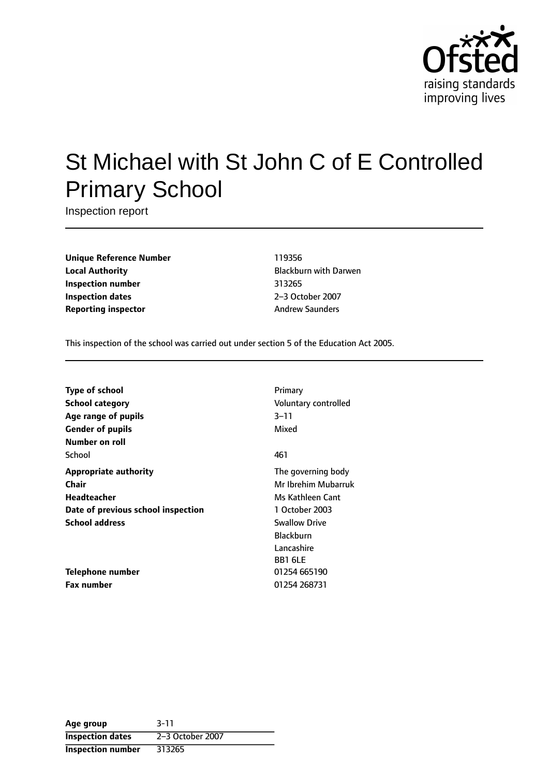

# St Michael with St John C of E Controlled Primary School

Inspection report

**Unique Reference Number** 119356 **Local Authority Construction Exercise State Blackburn with Darwen Inspection number** 313265 **Inspection dates** 2-3 October 2007 **Reporting inspector** Andrew Saunders

This inspection of the school was carried out under section 5 of the Education Act 2005.

| <b>Type of school</b>              | Primary              |
|------------------------------------|----------------------|
| <b>School category</b>             | Voluntary controlled |
| Age range of pupils                | 3–11                 |
| <b>Gender of pupils</b>            | Mixed                |
| Number on roll                     |                      |
| School                             | 461                  |
| <b>Appropriate authority</b>       | The governing body   |
| Chair                              | Mr Ibrehim Mubarruk  |
| <b>Headteacher</b>                 | Ms Kathleen Cant     |
| Date of previous school inspection | 1 October 2003       |
| <b>School address</b>              | <b>Swallow Drive</b> |
|                                    | <b>Blackburn</b>     |
|                                    | Lancashire           |
|                                    | <b>BB1 6LE</b>       |
| Telephone number                   | 01254 665190         |
| Fax number                         | 01254 268731         |

| Age group                | $3 - 11$         |
|--------------------------|------------------|
| <b>Inspection dates</b>  | 2-3 October 2007 |
| <b>Inspection number</b> | 313265           |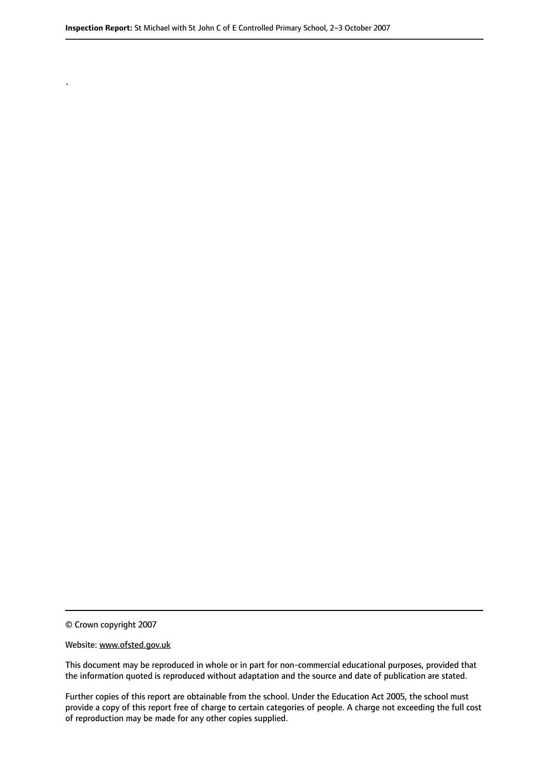© Crown copyright 2007

.

#### Website: www.ofsted.gov.uk

This document may be reproduced in whole or in part for non-commercial educational purposes, provided that the information quoted is reproduced without adaptation and the source and date of publication are stated.

Further copies of this report are obtainable from the school. Under the Education Act 2005, the school must provide a copy of this report free of charge to certain categories of people. A charge not exceeding the full cost of reproduction may be made for any other copies supplied.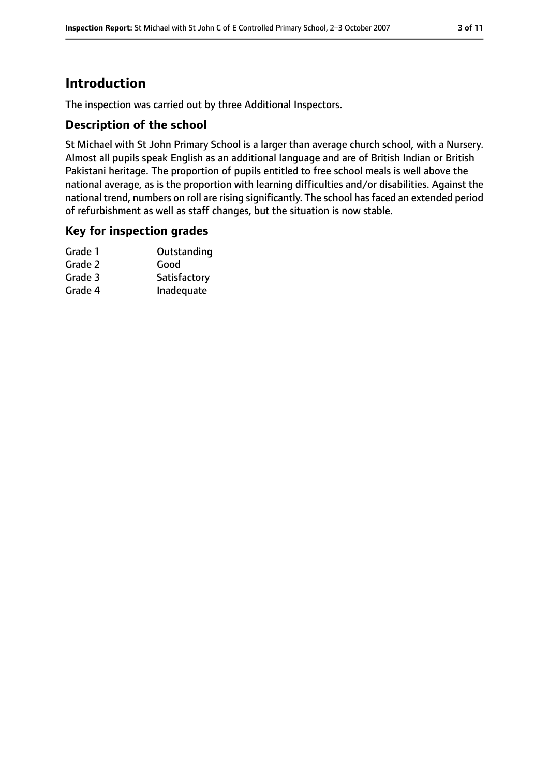# **Introduction**

The inspection was carried out by three Additional Inspectors.

# **Description of the school**

St Michael with St John Primary School is a larger than average church school, with a Nursery. Almost all pupils speak English as an additional language and are of British Indian or British Pakistani heritage. The proportion of pupils entitled to free school meals is well above the national average, as is the proportion with learning difficulties and/or disabilities. Against the national trend, numbers on roll are rising significantly. The school has faced an extended period of refurbishment as well as staff changes, but the situation is now stable.

### **Key for inspection grades**

| Grade 1 | Outstanding  |
|---------|--------------|
| Grade 2 | Good         |
| Grade 3 | Satisfactory |
| Grade 4 | Inadequate   |
|         |              |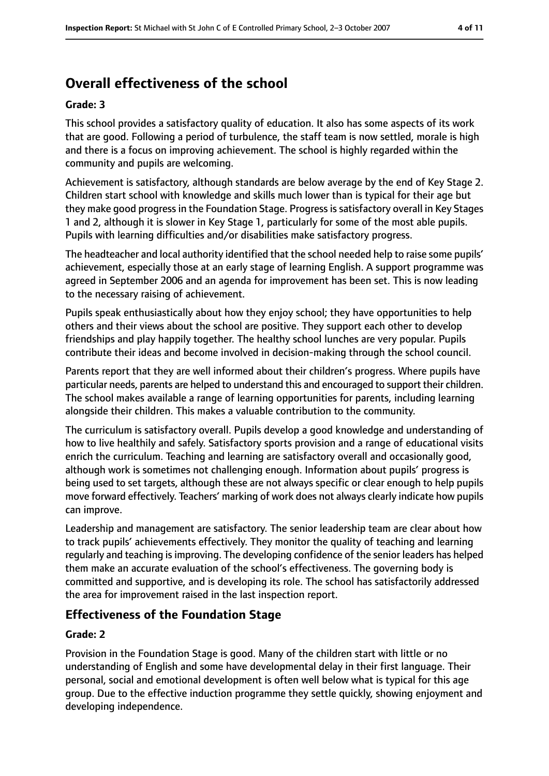# **Overall effectiveness of the school**

#### **Grade: 3**

This school provides a satisfactory quality of education. It also has some aspects of its work that are good. Following a period of turbulence, the staff team is now settled, morale is high and there is a focus on improving achievement. The school is highly regarded within the community and pupils are welcoming.

Achievement is satisfactory, although standards are below average by the end of Key Stage 2. Children start school with knowledge and skills much lower than is typical for their age but they make good progressin the Foundation Stage. Progressissatisfactory overall in Key Stages 1 and 2, although it is slower in Key Stage 1, particularly for some of the most able pupils. Pupils with learning difficulties and/or disabilities make satisfactory progress.

The headteacher and local authority identified that the school needed help to raise some pupils' achievement, especially those at an early stage of learning English. A support programme was agreed in September 2006 and an agenda for improvement has been set. This is now leading to the necessary raising of achievement.

Pupils speak enthusiastically about how they enjoy school; they have opportunities to help others and their views about the school are positive. They support each other to develop friendships and play happily together. The healthy school lunches are very popular. Pupils contribute their ideas and become involved in decision-making through the school council.

Parents report that they are well informed about their children's progress. Where pupils have particular needs, parents are helped to understand this and encouraged to support their children. The school makes available a range of learning opportunities for parents, including learning alongside their children. This makes a valuable contribution to the community.

The curriculum is satisfactory overall. Pupils develop a good knowledge and understanding of how to live healthily and safely. Satisfactory sports provision and a range of educational visits enrich the curriculum. Teaching and learning are satisfactory overall and occasionally good, although work is sometimes not challenging enough. Information about pupils' progress is being used to set targets, although these are not always specific or clear enough to help pupils move forward effectively. Teachers' marking of work does not always clearly indicate how pupils can improve.

Leadership and management are satisfactory. The senior leadership team are clear about how to track pupils' achievements effectively. They monitor the quality of teaching and learning regularly and teaching isimproving. The developing confidence of the senior leaders has helped them make an accurate evaluation of the school's effectiveness. The governing body is committed and supportive, and is developing its role. The school has satisfactorily addressed the area for improvement raised in the last inspection report.

# **Effectiveness of the Foundation Stage**

### **Grade: 2**

Provision in the Foundation Stage is good. Many of the children start with little or no understanding of English and some have developmental delay in their first language. Their personal, social and emotional development is often well below what is typical for this age group. Due to the effective induction programme they settle quickly, showing enjoyment and developing independence.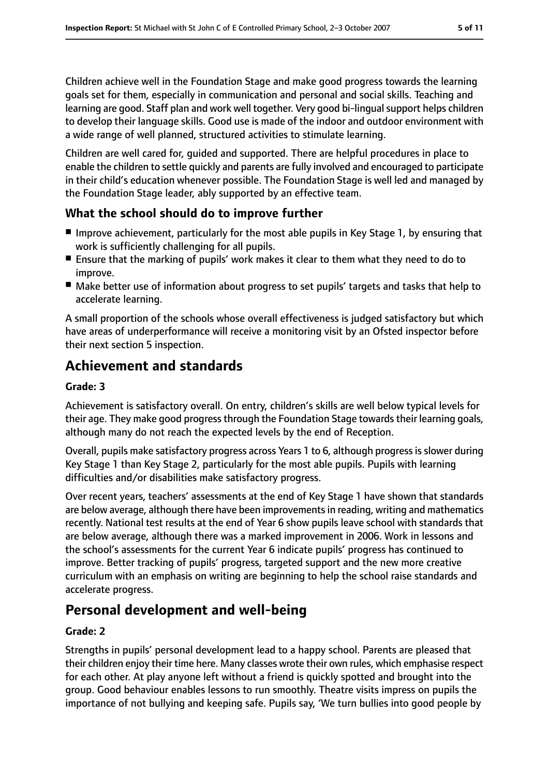Children achieve well in the Foundation Stage and make good progress towards the learning goals set for them, especially in communication and personal and social skills. Teaching and learning are good. Staff plan and work well together. Very good bi-lingual support helps children to develop their language skills. Good use is made of the indoor and outdoor environment with a wide range of well planned, structured activities to stimulate learning.

Children are well cared for, guided and supported. There are helpful procedures in place to enable the children to settle quickly and parents are fully involved and encouraged to participate in their child's education whenever possible. The Foundation Stage is well led and managed by the Foundation Stage leader, ably supported by an effective team.

# **What the school should do to improve further**

- Improve achievement, particularly for the most able pupils in Key Stage 1, by ensuring that work is sufficiently challenging for all pupils.
- Ensure that the marking of pupils' work makes it clear to them what they need to do to improve.
- Make better use of information about progress to set pupils' targets and tasks that help to accelerate learning.

A small proportion of the schools whose overall effectiveness is judged satisfactory but which have areas of underperformance will receive a monitoring visit by an Ofsted inspector before their next section 5 inspection.

# **Achievement and standards**

### **Grade: 3**

Achievement is satisfactory overall. On entry, children's skills are well below typical levels for their age. They make good progressthrough the Foundation Stage towardstheir learning goals, although many do not reach the expected levels by the end of Reception.

Overall, pupils make satisfactory progress across Years 1 to 6, although progress isslower during Key Stage 1 than Key Stage 2, particularly for the most able pupils. Pupils with learning difficulties and/or disabilities make satisfactory progress.

Over recent years, teachers' assessments at the end of Key Stage 1 have shown that standards are below average, although there have been improvementsin reading, writing and mathematics recently. National test results at the end of Year 6 show pupils leave school with standards that are below average, although there was a marked improvement in 2006. Work in lessons and the school's assessments for the current Year 6 indicate pupils' progress has continued to improve. Better tracking of pupils' progress, targeted support and the new more creative curriculum with an emphasis on writing are beginning to help the school raise standards and accelerate progress.

# **Personal development and well-being**

### **Grade: 2**

Strengths in pupils' personal development lead to a happy school. Parents are pleased that their children enjoy their time here. Many classes wrote their own rules, which emphasise respect for each other. At play anyone left without a friend is quickly spotted and brought into the group. Good behaviour enables lessons to run smoothly. Theatre visits impress on pupils the importance of not bullying and keeping safe. Pupils say, 'We turn bullies into good people by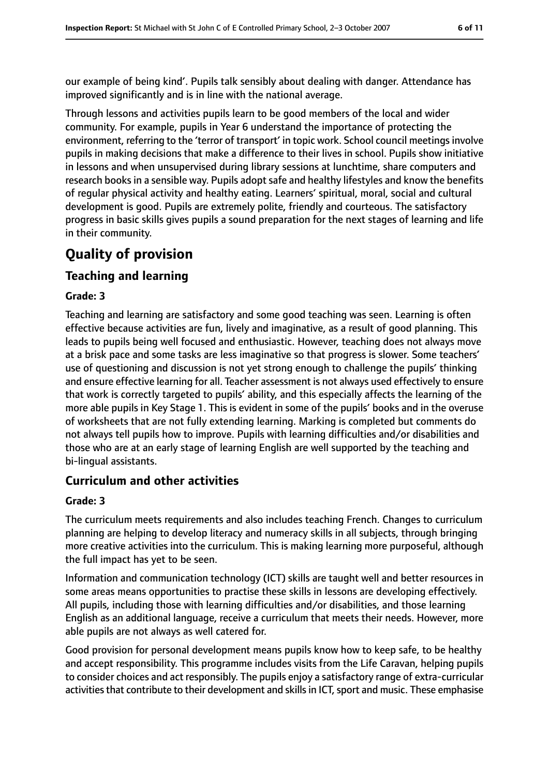our example of being kind'. Pupils talk sensibly about dealing with danger. Attendance has improved significantly and is in line with the national average.

Through lessons and activities pupils learn to be good members of the local and wider community. For example, pupils in Year 6 understand the importance of protecting the environment, referring to the 'terror of transport' in topic work. School council meetings involve pupils in making decisions that make a difference to their lives in school. Pupils show initiative in lessons and when unsupervised during library sessions at lunchtime, share computers and research books in a sensible way. Pupils adopt safe and healthy lifestyles and know the benefits of regular physical activity and healthy eating. Learners' spiritual, moral, social and cultural development is good. Pupils are extremely polite, friendly and courteous. The satisfactory progress in basic skills gives pupils a sound preparation for the next stages of learning and life in their community.

# **Quality of provision**

# **Teaching and learning**

#### **Grade: 3**

Teaching and learning are satisfactory and some good teaching was seen. Learning is often effective because activities are fun, lively and imaginative, as a result of good planning. This leads to pupils being well focused and enthusiastic. However, teaching does not always move at a brisk pace and some tasks are less imaginative so that progress is slower. Some teachers' use of questioning and discussion is not yet strong enough to challenge the pupils' thinking and ensure effective learning for all. Teacher assessment is not always used effectively to ensure that work is correctly targeted to pupils' ability, and this especially affects the learning of the more able pupils in Key Stage 1. This is evident in some of the pupils' books and in the overuse of worksheets that are not fully extending learning. Marking is completed but comments do not always tell pupils how to improve. Pupils with learning difficulties and/or disabilities and those who are at an early stage of learning English are well supported by the teaching and bi-lingual assistants.

### **Curriculum and other activities**

#### **Grade: 3**

The curriculum meets requirements and also includes teaching French. Changes to curriculum planning are helping to develop literacy and numeracy skills in all subjects, through bringing more creative activities into the curriculum. This is making learning more purposeful, although the full impact has yet to be seen.

Information and communication technology (ICT) skills are taught well and better resources in some areas means opportunities to practise these skills in lessons are developing effectively. All pupils, including those with learning difficulties and/or disabilities, and those learning English as an additional language, receive a curriculum that meets their needs. However, more able pupils are not always as well catered for.

Good provision for personal development means pupils know how to keep safe, to be healthy and accept responsibility. This programme includes visits from the Life Caravan, helping pupils to consider choices and act responsibly. The pupils enjoy a satisfactory range of extra-curricular activities that contribute to their development and skills in ICT, sport and music. These emphasise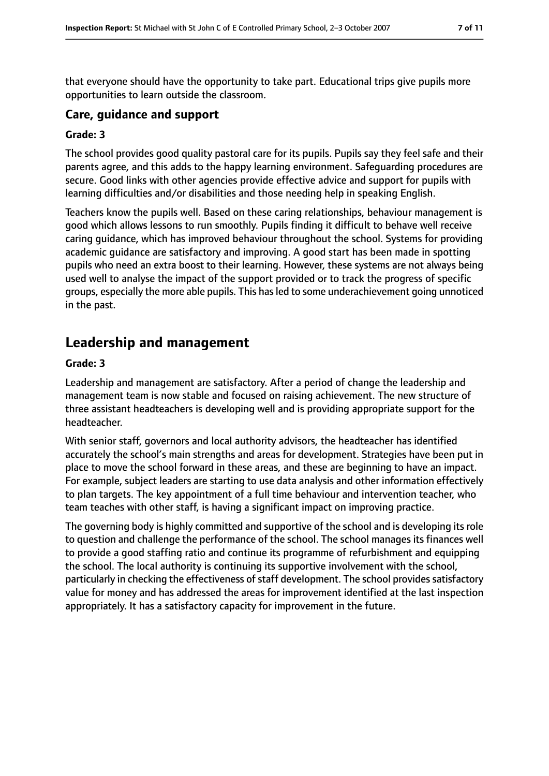that everyone should have the opportunity to take part. Educational trips give pupils more opportunities to learn outside the classroom.

### **Care, guidance and support**

#### **Grade: 3**

The school provides good quality pastoral care for its pupils. Pupils say they feel safe and their parents agree, and this adds to the happy learning environment. Safeguarding procedures are secure. Good links with other agencies provide effective advice and support for pupils with learning difficulties and/or disabilities and those needing help in speaking English.

Teachers know the pupils well. Based on these caring relationships, behaviour management is good which allows lessons to run smoothly. Pupils finding it difficult to behave well receive caring guidance, which has improved behaviour throughout the school. Systems for providing academic guidance are satisfactory and improving. A good start has been made in spotting pupils who need an extra boost to their learning. However, these systems are not always being used well to analyse the impact of the support provided or to track the progress of specific groups, especially the more able pupils. This hasled to some underachievement going unnoticed in the past.

# **Leadership and management**

#### **Grade: 3**

Leadership and management are satisfactory. After a period of change the leadership and management team is now stable and focused on raising achievement. The new structure of three assistant headteachers is developing well and is providing appropriate support for the headteacher.

With senior staff, governors and local authority advisors, the headteacher has identified accurately the school's main strengths and areas for development. Strategies have been put in place to move the school forward in these areas, and these are beginning to have an impact. For example, subject leaders are starting to use data analysis and other information effectively to plan targets. The key appointment of a full time behaviour and intervention teacher, who team teaches with other staff, is having a significant impact on improving practice.

The governing body is highly committed and supportive of the school and is developing its role to question and challenge the performance of the school. The school manages its finances well to provide a good staffing ratio and continue its programme of refurbishment and equipping the school. The local authority is continuing its supportive involvement with the school, particularly in checking the effectiveness of staff development. The school provides satisfactory value for money and has addressed the areas for improvement identified at the last inspection appropriately. It has a satisfactory capacity for improvement in the future.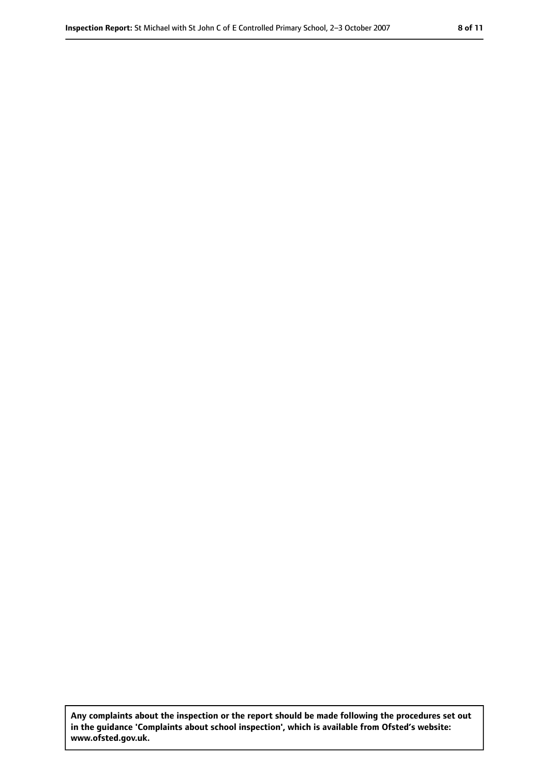**Any complaints about the inspection or the report should be made following the procedures set out in the guidance 'Complaints about school inspection', which is available from Ofsted's website: www.ofsted.gov.uk.**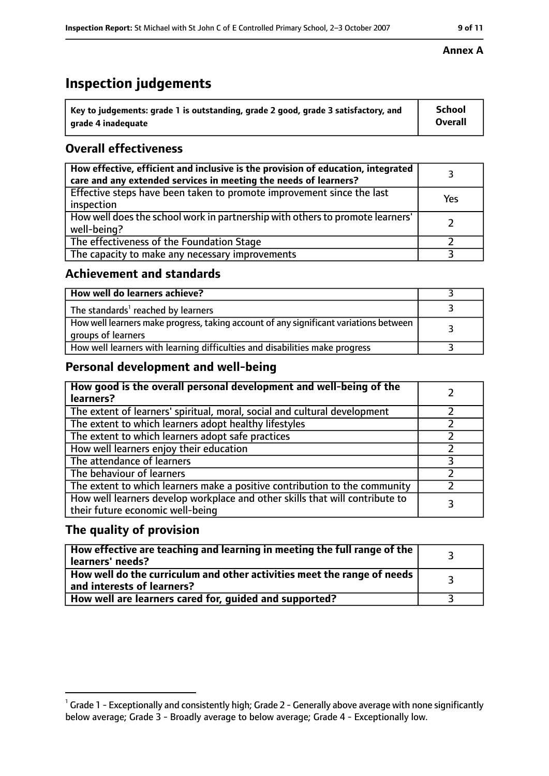# **Inspection judgements**

| $\degree$ Key to judgements: grade 1 is outstanding, grade 2 good, grade 3 satisfactory, and | School         |
|----------------------------------------------------------------------------------------------|----------------|
| arade 4 inadequate                                                                           | <b>Overall</b> |

# **Overall effectiveness**

| How effective, efficient and inclusive is the provision of education, integrated<br>care and any extended services in meeting the needs of learners? |     |
|------------------------------------------------------------------------------------------------------------------------------------------------------|-----|
| Effective steps have been taken to promote improvement since the last<br>inspection                                                                  | Yes |
| How well does the school work in partnership with others to promote learners'<br>well-being?                                                         |     |
| The effectiveness of the Foundation Stage                                                                                                            |     |
| The capacity to make any necessary improvements                                                                                                      |     |

### **Achievement and standards**

| How well do learners achieve?                                                                               |  |
|-------------------------------------------------------------------------------------------------------------|--|
| The standards <sup>1</sup> reached by learners                                                              |  |
| How well learners make progress, taking account of any significant variations between<br>groups of learners |  |
| How well learners with learning difficulties and disabilities make progress                                 |  |

# **Personal development and well-being**

| How good is the overall personal development and well-being of the<br>learners?                                  |  |
|------------------------------------------------------------------------------------------------------------------|--|
| The extent of learners' spiritual, moral, social and cultural development                                        |  |
| The extent to which learners adopt healthy lifestyles                                                            |  |
| The extent to which learners adopt safe practices                                                                |  |
| How well learners enjoy their education                                                                          |  |
| The attendance of learners                                                                                       |  |
| The behaviour of learners                                                                                        |  |
| The extent to which learners make a positive contribution to the community                                       |  |
| How well learners develop workplace and other skills that will contribute to<br>their future economic well-being |  |

### **The quality of provision**

| How effective are teaching and learning in meeting the full range of the<br>learners' needs?          |  |
|-------------------------------------------------------------------------------------------------------|--|
| How well do the curriculum and other activities meet the range of needs<br>and interests of learners? |  |
| How well are learners cared for, guided and supported?                                                |  |

#### **Annex A**

 $^1$  Grade 1 - Exceptionally and consistently high; Grade 2 - Generally above average with none significantly below average; Grade 3 - Broadly average to below average; Grade 4 - Exceptionally low.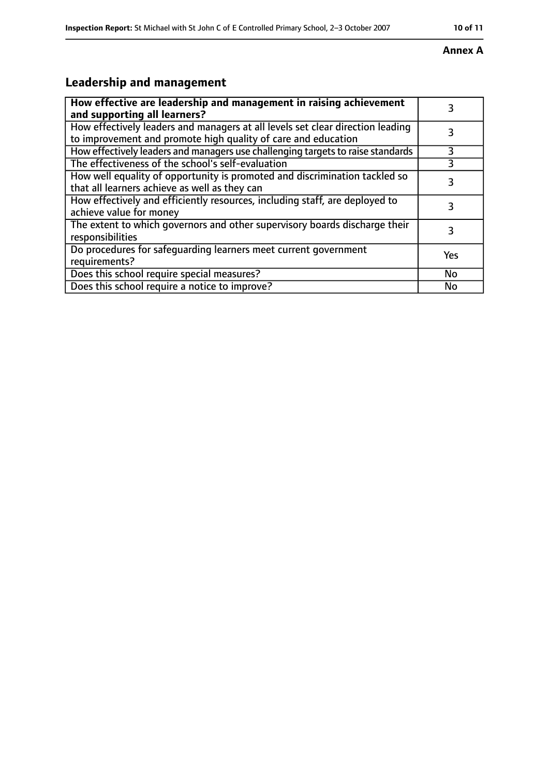# **Annex A**

# **Leadership and management**

| How effective are leadership and management in raising achievement<br>and supporting all learners?                                              |     |
|-------------------------------------------------------------------------------------------------------------------------------------------------|-----|
| How effectively leaders and managers at all levels set clear direction leading<br>to improvement and promote high quality of care and education |     |
| How effectively leaders and managers use challenging targets to raise standards                                                                 | 3   |
| The effectiveness of the school's self-evaluation                                                                                               | 3   |
| How well equality of opportunity is promoted and discrimination tackled so<br>that all learners achieve as well as they can                     | 3   |
| How effectively and efficiently resources, including staff, are deployed to<br>achieve value for money                                          | 3   |
| The extent to which governors and other supervisory boards discharge their<br>responsibilities                                                  | 3   |
| Do procedures for safequarding learners meet current government<br>requirements?                                                                | Yes |
| Does this school require special measures?                                                                                                      | No  |
| Does this school require a notice to improve?                                                                                                   | No  |